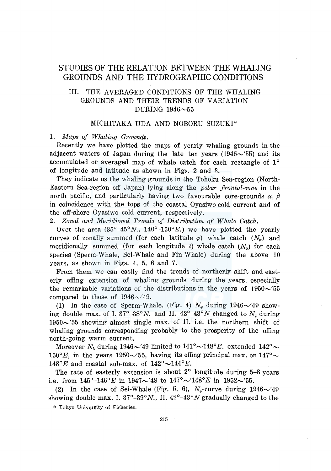# STUDIES OF THE RELATION BETWEEN THE WHALING GROUNDS AND THE HYDROGRAPHIC CONDITIONS

## III. THE AVERAGED CONDITIONS OF THE WHALING GROUNDS AND THEIR TRENDS OF VARIATION DURING  $1946 \sim 55$

### MICHITAKA UDA AND NOBORU SUZUKI\*

1. *Maps of Whaling Grounds.* 

Recently we have plotted the maps of yearly whaling grounds in the adjacent waters of Japan during the late ten years  $(1946\sim)55$  and its accumulated or averaged map of whale catch for each rectangle of 1° of longitude and latitude as shown in Figs. 2 and 3.

They indicate us the whaling grounds in the Tohoku Sea-region (North-Eastern Sea-region off Japan) lying along the *polar frontal-zone* in the north pacific, and particularly having two favourable core-grounds  $\alpha$ ,  $\beta$ in coincidence with the tops of the coastal Oyasiwo cold current and of the off-shore Oyasiwo cold current, respectively.

2. *Zonal and Meridional Trends of Distribution of Whale Catch.* 

Over the area  $(35^{\circ}-45^{\circ}N, 140^{\circ}-150^{\circ}E)$  we have plotted the yearly curves of zonally summed (for each latitude  $\varphi$ ) whale catch  $(N_{\varphi})$  and meridionally summed (for each longitude  $\lambda$ ) whale catch  $(N_{\lambda})$  for each species (Sperm-Whale, Sei-Whale and Fin-Whale) during the above 10 years, as shown in Figs. 4, 5, 6 and 7.

From them we can easily find the trends of northerly shift and easterly offing extension of whaling grounds during the years, especially the remarkable variations of the distributions in the years of  $1950 \sim 55$ compared to those of  $1946\sim$  49.

(1) In the case of Sperm-Whale, (Fig. 4)  $N_{\varphi}$  during  $1946\sim$  49 showing double max. of I.  $37^{\circ} - 38^{\circ} N$ . and II.  $42^{\circ} - 43^{\circ} N$  changed to  $N_{\varphi}$  during  $1950\sim 55$  showing almost single max. of II. i.e. the northern shift of whaling grounds corresponding probably to the prosperity of the offing north-going warm current.

Moreover  $N_\lambda$  during 1946 $\sim$ '49 limited to  $141^\circ{\sim}148^\circ E$ . extended  $142^\circ{\sim}$ 150° E, in the years 1950 $\sim$ '55, having its offing principal max. on 147° 148°E and coastal sub-max. of  $142^{\circ} \sim 144^{\circ}E$ .

The rate of easterly extension is about 2° longitude during 5-8 years i.e. from  $145^{\circ}$ -146°E in  $1947\sim$ '48 to  $147^{\circ}$  $\sim$ '148°E in 1952 $\sim$ '55.

(2) In the case of Sei-Whale (Fig. 5, 6),  $N_e$ -curve during  $1946\sim'49$ showing double max. I.  $37^{\circ}-39^{\circ}N$ ., II.  $42^{\circ}-43^{\circ}N$  gradually changed to the

\* Tokyo University of Fisheries.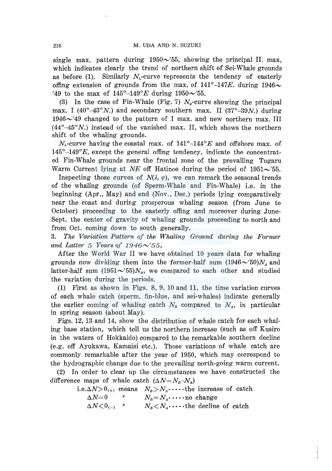single max. pattern during  $1950\sim 55$ , showing the principal II. max, which indicates clearly the trend of northern shift of Sei-Whale grounds as before (1). Similarly  $N_{\lambda}$ -curve represents the tendency of easterly offing extension of grounds from the max. of  $141^{\circ}$ -147E. during 1946 $\sim$ '49 to the max of  $145^{\circ}$ -149° E during  $1950 \sim 55$ .

(3) In the case of Fin-Whale (Fig. 7)  $N_e$ -curve showing the principal max. I (40°-43°N.) and secondary southern max. II (37°-39N.) during  $1946 \sim 49$  changed to the pattern of I max. and new northern max. III  $(44^{\circ}-45^{\circ}N)$ , instead of the vanished max. II, which shows the northern shift of the whaling grounds.

 $N_{\lambda}$ -curve having the coastal max. of 141°-144° E and offshore max. of  $145^{\circ}$ -149 $^{\circ}E$ , except the general offing tendency, indicate the concentrated Fin-Whale grounds near the frontal zone of the prevailing Tugaru Warm Current lying at *NE* off Hatinoe during the period of  $1951 \sim 55$ .

Inspecting those curves of  $N(\lambda, \varphi)$ , we can remark the seasonal trends of the whaling grounds (of Sperm-Whale and Fin-Whale) i.e. in the beginning (Apr., May) and end (Nov., Dec.) periods lying comparatively near the coast and during prosperous whaling season (from June to October) proceeding to the easterly offing and moreover during June-Sept. the center of gravity of whaling grounds proceeding to north and from Oct. coming down to south generally.

3. *The Variation Pattern of the Whaling Ground during the Former*  and Latter 5 Years of  $1946\sim' 55$ ,

After the World War II we have obtained 10 years data for whaling grounds now dividing them into the former-half sum  $(1946\sim'50)N<sub>4</sub>$  and latter-half sum  $(1951\sim' 55)N_p$ , we compared to each other and studied the variation during the periods.

(1) First as shown in Figs. 8, 9, 10 and 11, the time variation curves of each whale catch (sperm, fin-blue, and sei-whales) indicate generally the earlier coming of whaling catch  $N<sub>B</sub>$  compared to  $N<sub>A</sub>$ , in particular in spring season (about May).

Figs. 12, 13 and 14, show the distribution of whale catch for each whaling base station, which tell us the northern increase (such as off Kusiro in the waters of Hokkaido) compared to the remarkable southern decline (e.g. off Ayukawa, Kamaisi etc.). Those variations of whale catch are commonly remarkable after the year of 1950, which may correspond to the hydrographic change due to the prevailing north-going warm current.

(2) In order to clear up the circumstances we have constructed the difference maps of whale catch  $(\Delta N = N_B - N_A)$ 

i.e. $\Delta N > 0$ <sub>(+)</sub> means  $N_B > N_A \cdot \cdot \cdot \cdot$  the increase of catch

$$
\Delta N=0 \qquad \qquad N_B=N_A\cdot\cdots\text{no change}
$$

 $\Delta N < 0$ <sub>(-)</sub> "  $N_B < N_A$ ·····the decline of catch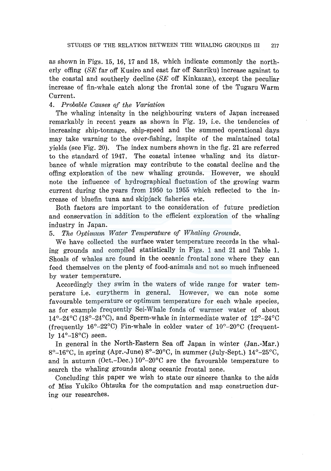as shown in Figs. 15, 16, 17 and 18, which indicate commonly the northerly offing (SE far off Kusiro and east far off Sanriku) increase against to the coastal and southerly decline  $(SE \text{ off Kinkazan})$ , except the peculiar increase of fin-whale catch along the frontal zone of the Tugaru Warm Current.

#### 4. *Probable Causes of the Variation*

The whaling intensity in the neighbouring waters of Japan increased remarkably in recent years as shown in Fig. 19, i.e. the tendencies of increasing ship-tonnage, ship-speed and the summed operational days may take warning to the over-fishing, inspite of the maintained total yields (see Fig. 20). The index numbers shown in the fig. 21 are referred to the standard of 1947. The coastal intense whaling and its disturbance of whale migration may contribute to the coastal decline and the offing exploration of the new whaling grounds. However, we should note the influence of hydrographical fluctuation of the growing warm current during the years from 1950 to 1955 which reflected to the increase of bluefin tuna and skipjack fisheries etc.

Both factors are important to the consideration of future prediction and conservation in addition to the efficient exploration of the whaling industry in Japan.

5. *The Optimum Water Temperature of Whaling Grounds.* 

We have collected the surface water temperature records in the whaling grounds and compiled statistically in Figs. 1 and 21 and Table 1. Shoals of whales are found in the oceanic frontal zone where they can feed themselves on the plenty of food-animals and not so much influenced by water temperature.

Accordingly they swim in the waters of wide range for water temperature i.e. eurytherm in general. However, we can note some favourable temperature or optimum temperature for each whale species, as for example frequently Sei-Whale fonds of warmer water of about 14°-24°C (18°-24°C), and Sperm-whale in intermediate water of 12°-24°C (frequently  $16^{\circ} - 22^{\circ}$ C) Fin-whale in colder water of  $10^{\circ} - 20^{\circ}$ C (frequently  $14^{\circ}-18^{\circ}$ C) seen.

In general in the North-Eastern Sea off Japan in winter (Jan.-Mar.) 8°-16°C, in spring (Apr.-June)  $8^{\circ}$ -20°C, in summer (July-Sept.)  $14^{\circ}$ -25°C, and in autumn (Oct.-Dec.)  $10^{\circ}$ -20 $^{\circ}$ C are the favourable temperature to search the whaling grounds along oceanic frontal zone.

Concluding this paper we wish to state our sincere thanks to the aids of Miss Yukiko Ohtsuka for the computation and map construction during our researches.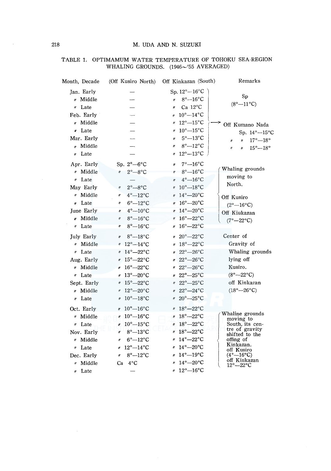| Month, Decade                                                                      | (Off Kusiro North)                                                                                                                                                                                                                                                                                                    | Off Kinkazan (South)                                                                                                                                                                                                | Remarks                                                                                                                                  |
|------------------------------------------------------------------------------------|-----------------------------------------------------------------------------------------------------------------------------------------------------------------------------------------------------------------------------------------------------------------------------------------------------------------------|---------------------------------------------------------------------------------------------------------------------------------------------------------------------------------------------------------------------|------------------------------------------------------------------------------------------------------------------------------------------|
| Jan. Early<br>» Middle                                                             |                                                                                                                                                                                                                                                                                                                       | Sp. $12^{\circ}-16^{\circ}$ C<br>$8^\circ - 16^\circ C$<br>$\mathbf{v}$                                                                                                                                             | Sp<br>$(8^{\circ}-11^{\circ}C)$                                                                                                          |
| " Late<br>Feb. Early<br>" Middle                                                   |                                                                                                                                                                                                                                                                                                                       | Ca $12^{\circ}$ C<br>$\boldsymbol{\eta}$<br>$10^{\circ}-14^{\circ}$ C<br>$\theta$<br>$v$ 12° -15° C                                                                                                                 | Off Kumano Nada                                                                                                                          |
| v Late<br>Mar. Early<br>" Middle<br>" Late                                         |                                                                                                                                                                                                                                                                                                                       | $40^{\circ} - 15^{\circ}$ C<br>$5^{\circ} - 13^{\circ}C$<br>$^{\prime\prime}$<br>$8^\circ - 12^\circ C$<br>$\mathbf{r}$<br>$4 \times 12^{\circ} - 13^{\circ}$ C                                                     | Sp. 14°-15°C<br>$17^{\circ}-18^{\circ}$<br>$\theta$<br>11<br>$15^{\circ}-18^{\circ}$<br>$^{\prime\prime}$<br>ı,                          |
| Apr. Early<br>" Middle<br>$\nu$ Late<br>May Early                                  | Sp. $2^{\circ}-6^{\circ}C$<br>$2^{\circ}-8^{\circ}$ C<br>II<br>$2^\circ - 8^\circ C$<br>$^{\prime\prime}$                                                                                                                                                                                                             | $7^\circ - 16^\circ C$<br>$\mathbf{r}$<br>$4\degree$ 8° -16°C<br>$4^\circ - 16^\circ$ C<br>$\mathbf{u}$<br>$v$ 10° -- 18° C                                                                                         | Whaling grounds<br>moving to<br>North.                                                                                                   |
| " Middle<br>" Late<br>June Early<br>n Middle                                       | $4^\circ - 12^\circ C$<br>ll<br>$6^\circ - 12^\circ C$<br>11<br>$4^\circ - 10^\circ C$<br>11<br>$8^\circ - 16^\circ$ C<br>II                                                                                                                                                                                          | $14^{\circ} - 20^{\circ}$ C<br>$v$ 16° - 20°C<br>$v 14^{\circ} - 20^{\circ}$ C<br>$16^\circ - 22^\circ \text{C}$                                                                                                    | Off Kusiro<br>$(2^{\circ}-16^{\circ}C)$<br>Off Kiukazan<br>$(7^\circ - 22^\circ \text{C})$                                               |
| " Late<br><b>July Early</b><br>« Middle<br>" Late                                  | $8^\circ - 16^\circ C$<br>It<br>$8^\circ - 18^\circ$ C<br>$\boldsymbol{\eta}$<br>$/2^{\circ} - 14^{\circ}C$<br>$14^\circ - 22^\circ$ C<br>$^{\prime\prime}$                                                                                                                                                           | $v 16^{\circ} - 22^{\circ}$ C<br>$420^{\circ} - 22^{\circ}$ C<br>$4 \times 18^{\circ} - 22^{\circ}$ C<br>$v 22^{\circ} - 26^{\circ}C$                                                                               | Center of<br>Gravity of<br>Whaling grounds                                                                                               |
| Aug. Early<br>" Middle<br>" Late                                                   | $15^{\circ} - 22^{\circ}$ C<br>$^{\prime\prime}$<br>$16^{\circ} - 22^{\circ}$ C<br>$\mathbf{r}$<br>$13^\circ - 20^\circ C$<br>$\boldsymbol{r}$                                                                                                                                                                        | $1/22^{\circ}-26^{\circ}C$<br>$v 22^{\circ} - 26^{\circ}$ C<br>$v 22^{\circ} - 25^{\circ}C$                                                                                                                         | lying off<br>Kusiro.<br>$(8^{\circ}-22^{\circ}C)$                                                                                        |
| Sept. Early<br>» Middle<br>" Late                                                  | $15^{\circ} - 22^{\circ}$ C<br>$\eta$<br>$12^{\circ} - 20^{\circ}$ C<br>$\boldsymbol{\eta}$<br>$10^{\circ}-18^{\circ}$ C<br>$^{\prime\prime}$                                                                                                                                                                         | # 22°-25°C<br>$v 22^{\circ} - 24^{\circ}C$<br>$420^{\circ} - 25^{\circ}$ C                                                                                                                                          | off Kinkazan<br>$(18^{\circ} - 26^{\circ}C)$                                                                                             |
| Oct. Early<br>" Middle<br>" Late<br>Nov. Early<br>" Middle<br>" Late<br>Dec. Early | $10^{\circ}-16^{\circ}$ C<br>$\theta$<br>$10^{\circ}-16^{\circ}$ C<br>$\boldsymbol{n}$<br>$10^{\circ}-15^{\circ}$ C<br>n<br>$8^\circ - 13^\circ C$<br>$\boldsymbol{H}$<br>$6^\circ - 12^\circ C$<br>$\boldsymbol{''}$<br>$12^{\circ}-14^{\circ}$ C<br>$\boldsymbol{r}$<br>$8^\circ - 12^\circ C$<br>$^{\prime\prime}$ | $4 \times 18^{\circ} - 22^{\circ}$ C<br>$418^{\circ} - 22^{\circ}$ C<br>$4 \times 18^{\circ} - 22^{\circ}$ C<br>$v$ 18° - 22° C<br>$v$ 14° - 22° C<br>$14^{\circ} - 20^{\circ}$ C<br>W.<br>$14^{\circ}-19^{\circ}C$ | Whaline grounds<br>moving to<br>South, its cen-<br>tre of gravity<br>shifted to the<br>offing of<br>Kinkazan.<br>off Kusiro<br>(4°—16°C) |
| " Middle                                                                           | $Ca$ $4^{\circ}C$                                                                                                                                                                                                                                                                                                     | $4^{\circ} - 20^{\circ}C$                                                                                                                                                                                           | off Kinkazan<br>$12^\circ - 22^\circ C$                                                                                                  |

*n* Late  $-$  *n*  $12^{\circ}-16^{\circ}\text{C}$ 

#### TABLE 1. OPTIMAMUM WATER TEMPERATURE OF TOHOKU SEA-REGION WHALING GROUNDS.  $(1946 \sim 755 \text{ AVERAGED})$

 $\sim$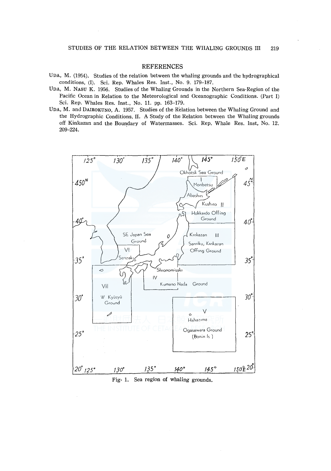#### **REFERENCES**

- UDA, M. (1954). Studies of the relation between the whaling grounds and the hydrographical conditions, (I). Sci. Rep. Whales Res. Inst., No. 9. 179-187.
- UDA, M. NASU K. 1956. Studies of the Whaling Grounds in the Northern Sea-Region of the Pacific Ocean in Relation to the Meteorological and Oceanographic Conditions. (Part I) Sci. Rep. Whales Res. Inst., No. 11. pp. 163-179.
- UDA, M. and DAIROKUNO, A. 1957. Studies of the Relation between the Whaling Ground and the Hydrographic Conditions. II. A Study of the Relation between the Whaling grounds off Kinkazan and the Boundary of Watermasses. Sci. Rep. Whale Res. Inst, No. 12. 209-224.



Fig- 1. Sea region of whaling grounds.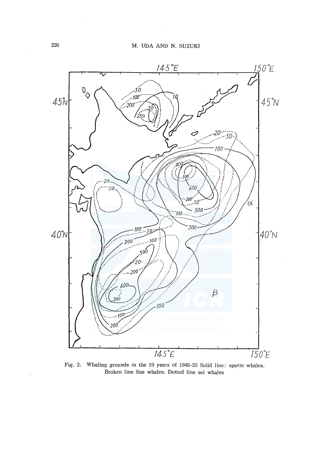

Fig. 2. Whaling grounds in the 10 years of 1946-55 Solid line: sperm whales. Broken line fine whales. Dotted line sei whales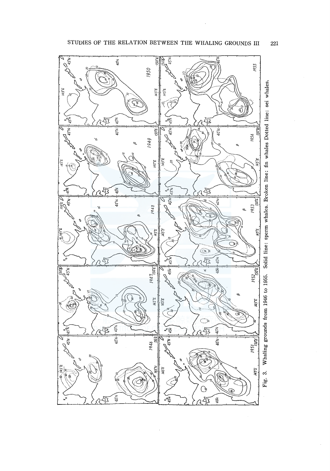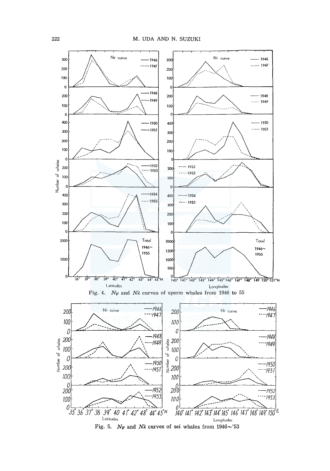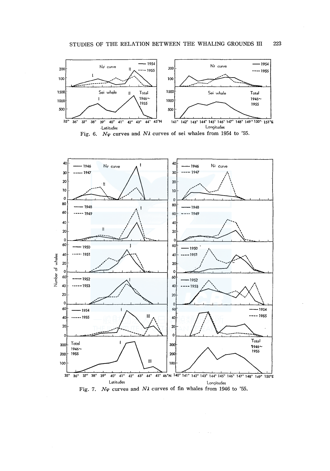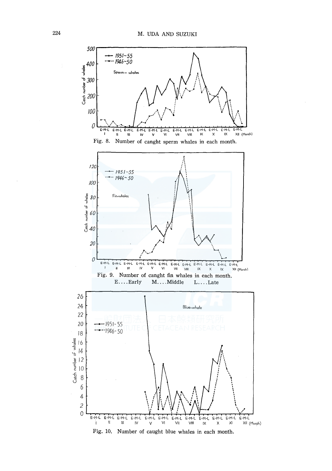

Fig. 10. Number of caught blue whales in each month.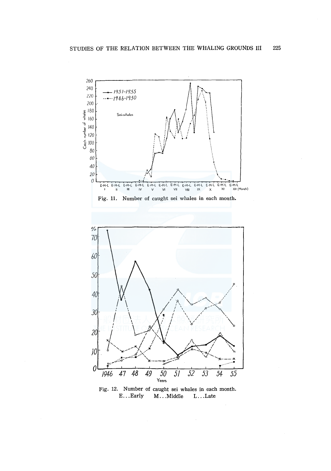

Fig. 12. Number of caught sei whales in each month. E... Early M... Middle L... Late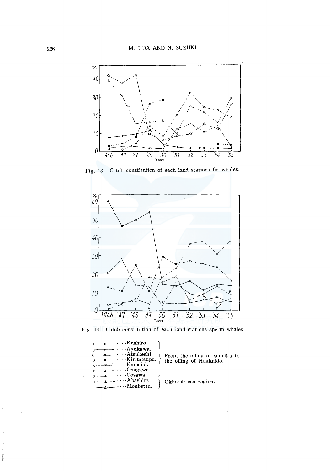

Fig. 13. Catch constitution of each land stations fin whales.



Fig. 14. Catch constitution of each land stations sperm whales.

| $\lambda$ ----0---- $\cdots$ Kushiro.<br>$B \rightarrow \cdots$ $\cdots$ $A$ yukawa.<br>$c - -$<br>$n = 1, \ldots, n$ $\ldots$ Kiritatsupu.<br>$E \leftarrow x \rightarrow \cdots$ Kamaisi.<br>$F \rightarrow \rightarrow \rightarrow \rightarrow \cdots$ Onagawa.                                                                                                                                                                                           | From the offing of sanriku to<br>the offing of Hokkaido. |
|--------------------------------------------------------------------------------------------------------------------------------------------------------------------------------------------------------------------------------------------------------------------------------------------------------------------------------------------------------------------------------------------------------------------------------------------------------------|----------------------------------------------------------|
| $G \rightarrow \bullet \rightarrow \cdots$ Oosawa.<br>$H$ $\rightarrow$ $\rightarrow$ $\rightarrow$ $\cdots$ Abashiri.<br>$\mathbf{I}$ $\mathbf{I}$ $\mathbf{I}$ $\mathbf{I}$ $\mathbf{I}$ $\mathbf{I}$ $\mathbf{I}$ $\mathbf{I}$ $\mathbf{I}$ $\mathbf{I}$ $\mathbf{I}$ $\mathbf{I}$ $\mathbf{I}$ $\mathbf{I}$ $\mathbf{I}$ $\mathbf{I}$ $\mathbf{I}$ $\mathbf{I}$ $\mathbf{I}$ $\mathbf{I}$ $\mathbf{I}$ $\mathbf{I}$ $\mathbf{I}$ $\mathbf{I}$ $\mathbf{$ | Okhotsk sea region.                                      |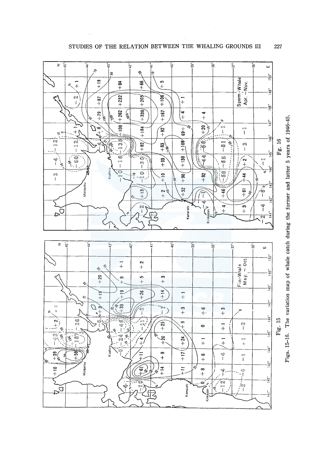

Figs. 15-16. The variation map of whale catch during the former and latter 5 years of 1946-45.

STUDIES OF THE RELATION BETWEEN THE WHALING GROUNDS III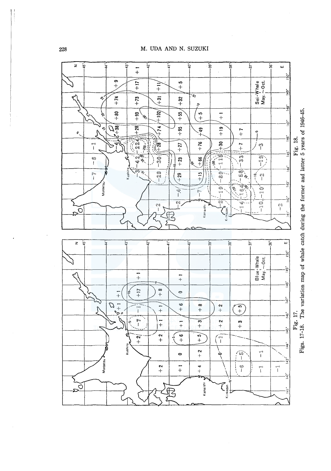